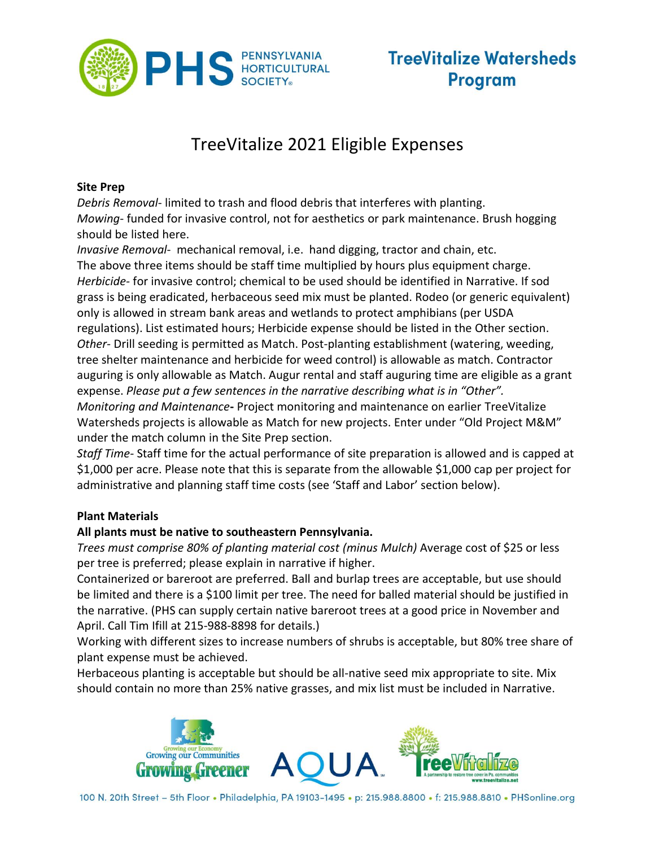

## TreeVitalize 2021 Eligible Expenses

#### **Site Prep**

*Debris Removal*- limited to trash and flood debris that interferes with planting. *Mowing*- funded for invasive control, not for aesthetics or park maintenance. Brush hogging should be listed here.

*Invasive Removal*- mechanical removal, i.e. hand digging, tractor and chain, etc. The above three items should be staff time multiplied by hours plus equipment charge. *Herbicide-* for invasive control; chemical to be used should be identified in Narrative. If sod grass is being eradicated, herbaceous seed mix must be planted. Rodeo (or generic equivalent) only is allowed in stream bank areas and wetlands to protect amphibians (per USDA regulations). List estimated hours; Herbicide expense should be listed in the Other section. *Other-* Drill seeding is permitted as Match. Post-planting establishment (watering, weeding, tree shelter maintenance and herbicide for weed control) is allowable as match. Contractor auguring is only allowable as Match. Augur rental and staff auguring time are eligible as a grant expense. *Please put a few sentences in the narrative describing what is in "Other". Monitoring and Maintenance***-** Project monitoring and maintenance on earlier TreeVitalize Watersheds projects is allowable as Match for new projects. Enter under "Old Project M&M" under the match column in the Site Prep section.

*Staff Time-* Staff time for the actual performance of site preparation is allowed and is capped at \$1,000 per acre. Please note that this is separate from the allowable \$1,000 cap per project for administrative and planning staff time costs (see 'Staff and Labor' section below).

#### **Plant Materials**

### **All plants must be native to southeastern Pennsylvania.**

*Trees must comprise 80% of planting material cost (minus Mulch)* Average cost of \$25 or less per tree is preferred; please explain in narrative if higher.

Containerized or bareroot are preferred. Ball and burlap trees are acceptable, but use should be limited and there is a \$100 limit per tree. The need for balled material should be justified in the narrative. (PHS can supply certain native bareroot trees at a good price in November and April. Call Tim Ifill at 215-988-8898 for details.)

Working with different sizes to increase numbers of shrubs is acceptable, but 80% tree share of plant expense must be achieved.

Herbaceous planting is acceptable but should be all-native seed mix appropriate to site. Mix should contain no more than 25% native grasses, and mix list must be included in Narrative.



100 N. 20th Street - 5th Floor . Philadelphia, PA 19103-1495 . p: 215.988.8800 . f: 215.988.8810 . PHSonline.org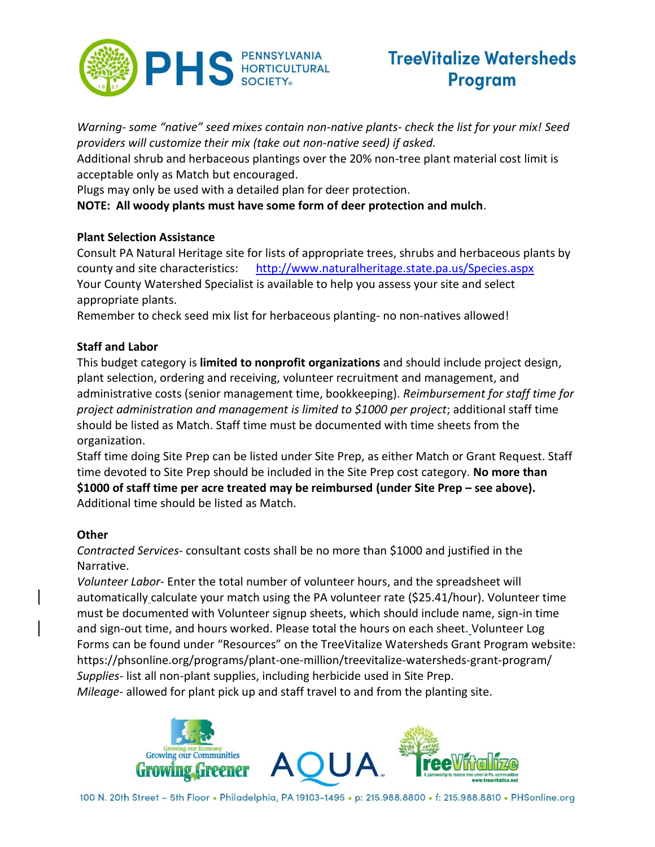

# **TreeVitalize Watersheds Program**

*Warning- some "native" seed mixes contain non-native plants- check the list for your mix! Seed providers will customize their mix (take out non-native seed) if asked.* 

Additional shrub and herbaceous plantings over the 20% non-tree plant material cost limit is acceptable only as Match but encouraged.

Plugs may only be used with a detailed plan for deer protection.

**NOTE: All woody plants must have some form of deer protection and mulch**.

### **Plant Selection Assistance**

Consult PA Natural Heritage site for lists of appropriate trees, shrubs and herbaceous plants by county and site characteristics: <http://www.naturalheritage.state.pa.us/Species.aspx> Your County Watershed Specialist is available to help you assess your site and select appropriate plants.

Remember to check seed mix list for herbaceous planting- no non-natives allowed!

### **Staff and Labor**

This budget category is **limited to nonprofit organizations** and should include project design, plant selection, ordering and receiving, volunteer recruitment and management, and administrative costs (senior management time, bookkeeping). *Reimbursement for staff time for project administration and management is limited to \$1000 per project*; additional staff time should be listed as Match. Staff time must be documented with time sheets from the organization.

Staff time doing Site Prep can be listed under Site Prep, as either Match or Grant Request. Staff time devoted to Site Prep should be included in the Site Prep cost category. **No more than \$1000 of staff time per acre treated may be reimbursed (under Site Prep – see above).** Additional time should be listed as Match.

### **Other**

*Contracted Services*- consultant costs shall be no more than \$1000 and justified in the Narrative.

*Volunteer Labor*- Enter the total number of volunteer hours, and the spreadsheet will automatically calculate your match using the PA volunteer rate (\$25.41/hour). Volunteer time must be documented with Volunteer signup sheets, which should include name, sign-in time and sign-out time, and hours worked. Please total the hours on each sheet. Volunteer Log Forms can be found under "Resources" on the TreeVitalize Watersheds Grant Program website: https://phsonline.org/programs/plant-one-million/treevitalize-watersheds-grant-program/ *Supplies*- list all non-plant supplies, including herbicide used in Site Prep.

*Mileage*- allowed for plant pick up and staff travel to and from the planting site.



100 N. 20th Street - 5th Floor . Philadelphia, PA 19103-1495 . p: 215.988.8800 . f: 215.988.8810 . PHSonline.org